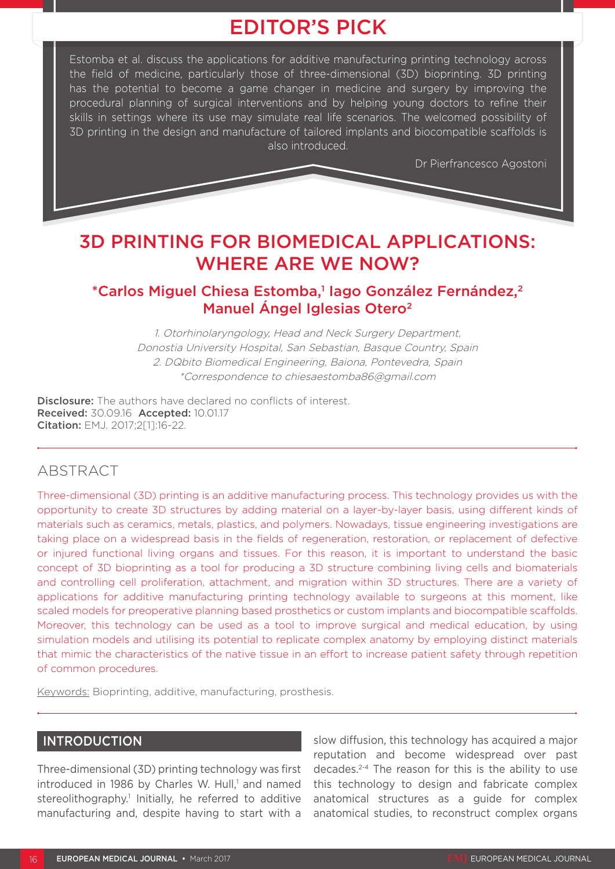# EDITOR'S PICK

Estomba et al. discuss the applications for additive manufacturing printing technology across the field of medicine, particularly those of three-dimensional (3D) bioprinting. 3D printing has the potential to become a game changer in medicine and surgery by improving the procedural planning of surgical interventions and by helping young doctors to refine their skills in settings where its use may simulate real life scenarios. The welcomed possibility of 3D printing in the design and manufacture of tailored implants and biocompatible scaffolds is also introduced.

Dr Pierfrancesco Agostoni

# 3D PRINTING FOR BIOMEDICAL APPLICATIONS: WHERE ARE WE NOW?

# \*Carlos Miguel Chiesa Estomba,<sup>1</sup> lago González Fernández,<sup>2</sup> Manuel Ángel Iglesias Otero<sup>2</sup>

1. Otorhinolaryngology, Head and Neck Surgery Department, Donostia University Hospital, San Sebastian, Basque Country, Spain 2. DQbito Biomedical Engineering, Baiona, Pontevedra, Spain \*Correspondence to chiesaestomba86@gmail.com

Disclosure: The authors have declared no conflicts of interest. Received: 30.09.16 Accepted: 10.01.17 Citation: EMJ. 2017;2[1]:16-22.

# ABSTRACT

Three-dimensional (3D) printing is an additive manufacturing process. This technology provides us with the opportunity to create 3D structures by adding material on a layer-by-layer basis, using different kinds of materials such as ceramics, metals, plastics, and polymers. Nowadays, tissue engineering investigations are taking place on a widespread basis in the fields of regeneration, restoration, or replacement of defective or injured functional living organs and tissues. For this reason, it is important to understand the basic concept of 3D bioprinting as a tool for producing a 3D structure combining living cells and biomaterials and controlling cell proliferation, attachment, and migration within 3D structures. There are a variety of applications for additive manufacturing printing technology available to surgeons at this moment, like scaled models for preoperative planning based prosthetics or custom implants and biocompatible scaffolds. Moreover, this technology can be used as a tool to improve surgical and medical education, by using simulation models and utilising its potential to replicate complex anatomy by employing distinct materials that mimic the characteristics of the native tissue in an effort to increase patient safety through repetition of common procedures.

Keywords: Bioprinting, additive, manufacturing, prosthesis.

## INTRODUCTION

Three-dimensional (3D) printing technology was first introduced in 1986 by Charles W. Hull,<sup>1</sup> and named stereolithography.<sup>1</sup> Initially, he referred to additive manufacturing and, despite having to start with a

slow diffusion, this technology has acquired a major reputation and become widespread over past decades.2-4 The reason for this is the ability to use this technology to design and fabricate complex anatomical structures as a guide for complex anatomical studies, to reconstruct complex organs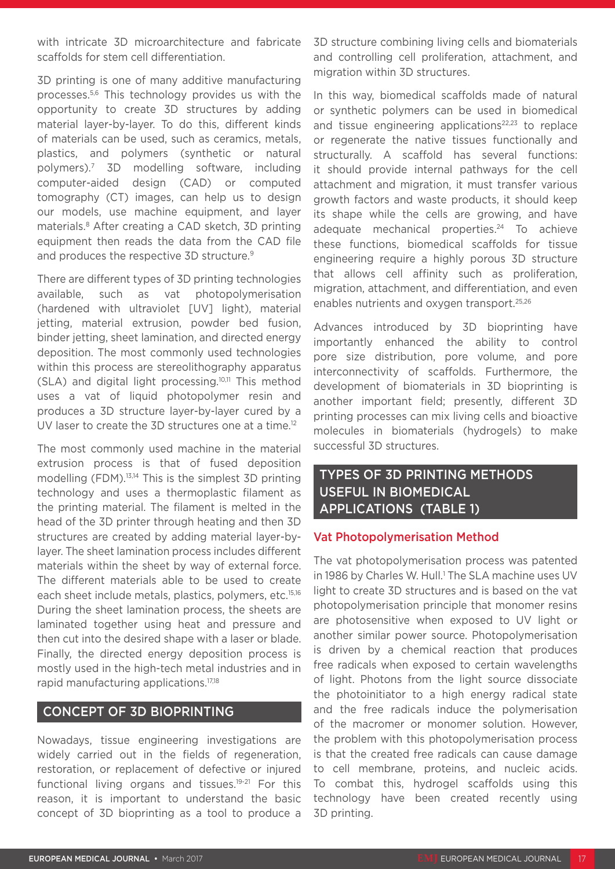with intricate 3D microarchitecture and fabricate scaffolds for stem cell differentiation.

3D printing is one of many additive manufacturing processes.5,6 This technology provides us with the opportunity to create 3D structures by adding material layer-by-layer. To do this, different kinds of materials can be used, such as ceramics, metals, plastics, and polymers (synthetic or natural polymers).7 3D modelling software, including computer-aided design (CAD) or computed tomography (CT) images, can help us to design our models, use machine equipment, and layer materials.8 After creating a CAD sketch, 3D printing equipment then reads the data from the CAD file and produces the respective 3D structure.<sup>9</sup>

There are different types of 3D printing technologies available, such as vat photopolymerisation (hardened with ultraviolet [UV] light), material jetting, material extrusion, powder bed fusion, binder jetting, sheet lamination, and directed energy deposition. The most commonly used technologies within this process are stereolithography apparatus (SLA) and digital light processing.10,11 This method uses a vat of liquid photopolymer resin and produces a 3D structure layer-by-layer cured by a UV laser to create the 3D structures one at a time.<sup>12</sup>

The most commonly used machine in the material extrusion process is that of fused deposition modelling (FDM).<sup>13,14</sup> This is the simplest 3D printing technology and uses a thermoplastic filament as the printing material. The filament is melted in the head of the 3D printer through heating and then 3D structures are created by adding material layer-bylayer. The sheet lamination process includes different materials within the sheet by way of external force. The different materials able to be used to create each sheet include metals, plastics, polymers, etc.15,16 During the sheet lamination process, the sheets are laminated together using heat and pressure and then cut into the desired shape with a laser or blade. Finally, the directed energy deposition process is mostly used in the high-tech metal industries and in rapid manufacturing applications.17,18

### CONCEPT OF 3D BIOPRINTING

Nowadays, tissue engineering investigations are widely carried out in the fields of regeneration, restoration, or replacement of defective or injured functional living organs and tissues.19-21 For this reason, it is important to understand the basic concept of 3D bioprinting as a tool to produce a

3D structure combining living cells and biomaterials and controlling cell proliferation, attachment, and migration within 3D structures.

In this way, biomedical scaffolds made of natural or synthetic polymers can be used in biomedical and tissue engineering applications $22,23$  to replace or regenerate the native tissues functionally and structurally. A scaffold has several functions: it should provide internal pathways for the cell attachment and migration, it must transfer various growth factors and waste products, it should keep its shape while the cells are growing, and have adequate mechanical properties.<sup>24</sup> To achieve these functions, biomedical scaffolds for tissue engineering require a highly porous 3D structure that allows cell affinity such as proliferation, migration, attachment, and differentiation, and even enables nutrients and oxygen transport.<sup>25,26</sup>

Advances introduced by 3D bioprinting have importantly enhanced the ability to control pore size distribution, pore volume, and pore interconnectivity of scaffolds. Furthermore, the development of biomaterials in 3D bioprinting is another important field; presently, different 3D printing processes can mix living cells and bioactive molecules in biomaterials (hydrogels) to make successful 3D structures.

## TYPES OF 3D PRINTING METHODS USEFUL IN BIOMEDICAL APPLICATIONS (TABLE 1)

#### Vat Photopolymerisation Method

The vat photopolymerisation process was patented in 1986 by Charles W. Hull.<sup>1</sup> The SLA machine uses UV light to create 3D structures and is based on the vat photopolymerisation principle that monomer resins are photosensitive when exposed to UV light or another similar power source. Photopolymerisation is driven by a chemical reaction that produces free radicals when exposed to certain wavelengths of light. Photons from the light source dissociate the photoinitiator to a high energy radical state and the free radicals induce the polymerisation of the macromer or monomer solution. However, the problem with this photopolymerisation process is that the created free radicals can cause damage to cell membrane, proteins, and nucleic acids. To combat this, hydrogel scaffolds using this technology have been created recently using 3D printing.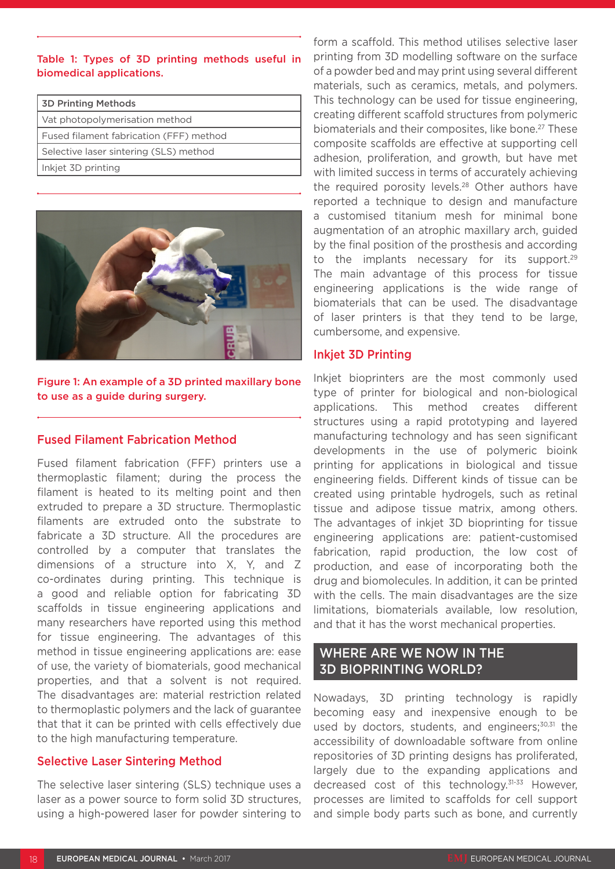#### Table 1: Types of 3D printing methods useful in biomedical applications.

| <b>3D Printing Methods</b>              |  |
|-----------------------------------------|--|
| Vat photopolymerisation method          |  |
| Fused filament fabrication (FFF) method |  |
| Selective laser sintering (SLS) method  |  |
| Inkjet 3D printing                      |  |



Figure 1: An example of a 3D printed maxillary bone to use as a guide during surgery.

#### Fused Filament Fabrication Method

Fused filament fabrication (FFF) printers use a thermoplastic filament; during the process the filament is heated to its melting point and then extruded to prepare a 3D structure. Thermoplastic filaments are extruded onto the substrate to fabricate a 3D structure. All the procedures are controlled by a computer that translates the dimensions of a structure into X, Y, and Z co-ordinates during printing. This technique is a good and reliable option for fabricating 3D scaffolds in tissue engineering applications and many researchers have reported using this method for tissue engineering. The advantages of this method in tissue engineering applications are: ease of use, the variety of biomaterials, good mechanical properties, and that a solvent is not required. The disadvantages are: material restriction related to thermoplastic polymers and the lack of guarantee that that it can be printed with cells effectively due to the high manufacturing temperature.

### Selective Laser Sintering Method

The selective laser sintering (SLS) technique uses a laser as a power source to form solid 3D structures, using a high-powered laser for powder sintering to form a scaffold. This method utilises selective laser printing from 3D modelling software on the surface of a powder bed and may print using several different materials, such as ceramics, metals, and polymers. This technology can be used for tissue engineering, creating different scaffold structures from polymeric biomaterials and their composites, like bone.<sup>27</sup> These composite scaffolds are effective at supporting cell adhesion, proliferation, and growth, but have met with limited success in terms of accurately achieving the required porosity levels.<sup>28</sup> Other authors have reported a technique to design and manufacture a customised titanium mesh for minimal bone augmentation of an atrophic maxillary arch, guided by the final position of the prosthesis and according to the implants necessary for its support.<sup>29</sup> The main advantage of this process for tissue engineering applications is the wide range of biomaterials that can be used. The disadvantage of laser printers is that they tend to be large, cumbersome, and expensive.

#### Inkjet 3D Printing

Inkjet bioprinters are the most commonly used type of printer for biological and non-biological applications. This method creates different structures using a rapid prototyping and layered manufacturing technology and has seen significant developments in the use of polymeric bioink printing for applications in biological and tissue engineering fields. Different kinds of tissue can be created using printable hydrogels, such as retinal tissue and adipose tissue matrix, among others. The advantages of inkjet 3D bioprinting for tissue engineering applications are: patient-customised fabrication, rapid production, the low cost of production, and ease of incorporating both the drug and biomolecules. In addition, it can be printed with the cells. The main disadvantages are the size limitations, biomaterials available, low resolution, and that it has the worst mechanical properties.

## WHERE ARE WE NOW IN THE 3D BIOPRINTING WORLD?

Nowadays, 3D printing technology is rapidly becoming easy and inexpensive enough to be used by doctors, students, and engineers; $30,31$  the accessibility of downloadable software from online repositories of 3D printing designs has proliferated, largely due to the expanding applications and decreased cost of this technology.<sup>31-33</sup> However, processes are limited to scaffolds for cell support and simple body parts such as bone, and currently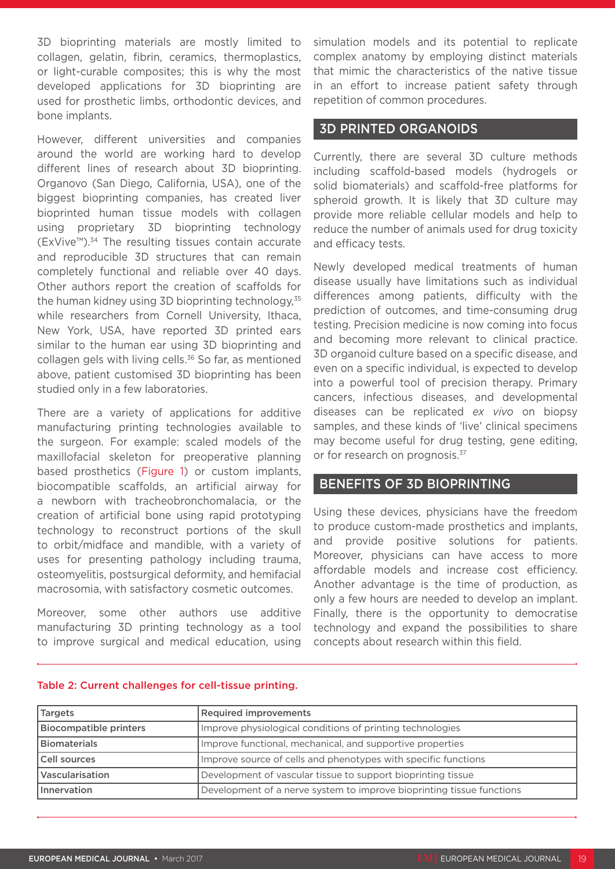3D bioprinting materials are mostly limited to collagen, gelatin, fibrin, ceramics, thermoplastics, or light-curable composites; this is why the most developed applications for 3D bioprinting are used for prosthetic limbs, orthodontic devices, and bone implants.

However, different universities and companies around the world are working hard to develop different lines of research about 3D bioprinting. Organovo (San Diego, California, USA), one of the biggest bioprinting companies, has created liver bioprinted human tissue models with collagen using proprietary 3D bioprinting technology (ExVive™).34 The resulting tissues contain accurate and reproducible 3D structures that can remain completely functional and reliable over 40 days. Other authors report the creation of scaffolds for the human kidney using 3D bioprinting technology,<sup>35</sup> while researchers from Cornell University, Ithaca, New York, USA, have reported 3D printed ears similar to the human ear using 3D bioprinting and collagen gels with living cells.<sup>36</sup> So far, as mentioned above, patient customised 3D bioprinting has been studied only in a few laboratories.

There are a variety of applications for additive manufacturing printing technologies available to the surgeon. For example: scaled models of the maxillofacial skeleton for preoperative planning based prosthetics (Figure 1) or custom implants, biocompatible scaffolds, an artificial airway for a newborn with tracheobronchomalacia, or the creation of artificial bone using rapid prototyping technology to reconstruct portions of the skull to orbit/midface and mandible, with a variety of uses for presenting pathology including trauma, osteomyelitis, postsurgical deformity, and hemifacial macrosomia, with satisfactory cosmetic outcomes.

Moreover, some other authors use additive manufacturing 3D printing technology as a tool to improve surgical and medical education, using simulation models and its potential to replicate complex anatomy by employing distinct materials that mimic the characteristics of the native tissue in an effort to increase patient safety through repetition of common procedures.

### 3D PRINTED ORGANOIDS

Currently, there are several 3D culture methods including scaffold-based models (hydrogels or solid biomaterials) and scaffold-free platforms for spheroid growth. It is likely that 3D culture may provide more reliable cellular models and help to reduce the number of animals used for drug toxicity and efficacy tests.

Newly developed medical treatments of human disease usually have limitations such as individual differences among patients, difficulty with the prediction of outcomes, and time-consuming drug testing. Precision medicine is now coming into focus and becoming more relevant to clinical practice. 3D organoid culture based on a specific disease, and even on a specific individual, is expected to develop into a powerful tool of precision therapy. Primary cancers, infectious diseases, and developmental diseases can be replicated *ex vivo* on biopsy samples, and these kinds of 'live' clinical specimens may become useful for drug testing, gene editing, or for research on prognosis.<sup>37</sup>

### BENEFITS OF 3D BIOPRINTING

Using these devices, physicians have the freedom to produce custom-made prosthetics and implants, and provide positive solutions for patients. Moreover, physicians can have access to more affordable models and increase cost efficiency. Another advantage is the time of production, as only a few hours are needed to develop an implant. Finally, there is the opportunity to democratise technology and expand the possibilities to share concepts about research within this field.

| <b>Targets</b>                | <b>Required improvements</b>                                          |
|-------------------------------|-----------------------------------------------------------------------|
| <b>Biocompatible printers</b> | Improve physiological conditions of printing technologies             |
| <b>Biomaterials</b>           | Improve functional, mechanical, and supportive properties             |
| Cell sources                  | Improve source of cells and phenotypes with specific functions        |
| Vascularisation               | Development of vascular tissue to support bioprinting tissue          |
| Innervation                   | Development of a nerve system to improve bioprinting tissue functions |

#### Table 2: Current challenges for cell-tissue printing.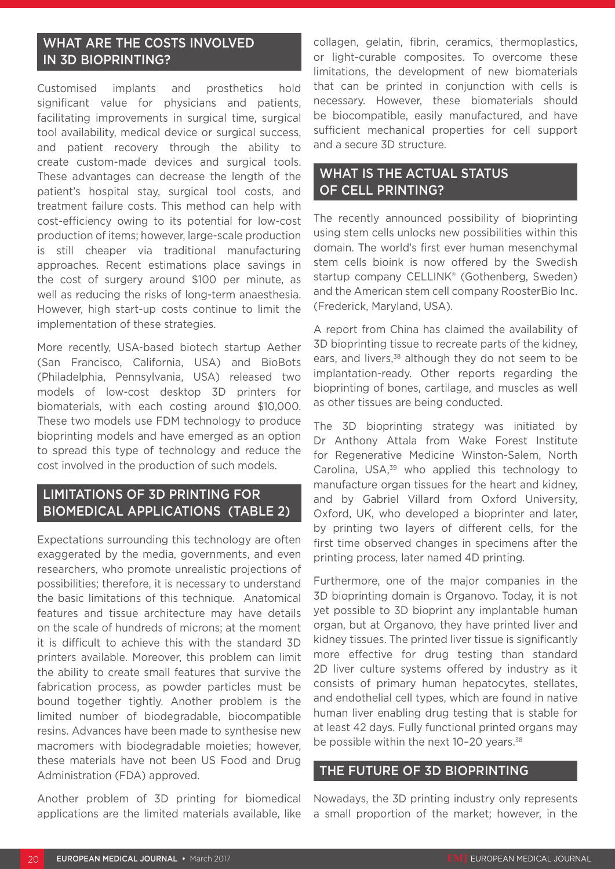## WHAT ARE THE COSTS INVOLVED IN 3D BIOPRINTING?

Customised implants and prosthetics hold significant value for physicians and patients, facilitating improvements in surgical time, surgical tool availability, medical device or surgical success, and patient recovery through the ability to create custom-made devices and surgical tools. These advantages can decrease the length of the patient's hospital stay, surgical tool costs, and treatment failure costs. This method can help with cost-efficiency owing to its potential for low-cost production of items; however, large-scale production is still cheaper via traditional manufacturing approaches. Recent estimations place savings in the cost of surgery around \$100 per minute, as well as reducing the risks of long-term anaesthesia. However, high start-up costs continue to limit the implementation of these strategies.

More recently, USA-based biotech startup Aether (San Francisco, California, USA) and BioBots (Philadelphia, Pennsylvania, USA) released two models of low-cost desktop 3D printers for biomaterials, with each costing around \$10,000. These two models use FDM technology to produce bioprinting models and have emerged as an option to spread this type of technology and reduce the cost involved in the production of such models.

## LIMITATIONS OF 3D PRINTING FOR BIOMEDICAL APPLICATIONS (TABLE 2)

Expectations surrounding this technology are often exaggerated by the media, governments, and even researchers, who promote unrealistic projections of possibilities; therefore, it is necessary to understand the basic limitations of this technique. Anatomical features and tissue architecture may have details on the scale of hundreds of microns; at the moment it is difficult to achieve this with the standard 3D printers available. Moreover, this problem can limit the ability to create small features that survive the fabrication process, as powder particles must be bound together tightly. Another problem is the limited number of biodegradable, biocompatible resins. Advances have been made to synthesise new macromers with biodegradable moieties; however, these materials have not been US Food and Drug Administration (FDA) approved.

Another problem of 3D printing for biomedical applications are the limited materials available, like

collagen, gelatin, fibrin, ceramics, thermoplastics, or light-curable composites. To overcome these limitations, the development of new biomaterials that can be printed in conjunction with cells is necessary. However, these biomaterials should be biocompatible, easily manufactured, and have sufficient mechanical properties for cell support and a secure 3D structure.

## WHAT IS THE ACTUAL STATUS OF CELL PRINTING?

The recently announced possibility of bioprinting using stem cells unlocks new possibilities within this domain. The world's first ever human mesenchymal stem cells bioink is now offered by the Swedish startup company CELLINK<sup>®</sup> (Gothenberg, Sweden) and the American stem cell company RoosterBio Inc. (Frederick, Maryland, USA).

A report from China has claimed the availability of 3D bioprinting tissue to recreate parts of the kidney, ears, and livers,<sup>38</sup> although they do not seem to be implantation-ready. Other reports regarding the bioprinting of bones, cartilage, and muscles as well as other tissues are being conducted.

The 3D bioprinting strategy was initiated by Dr Anthony Attala from Wake Forest Institute for Regenerative Medicine Winston-Salem, North Carolina, USA,<sup>39</sup> who applied this technology to manufacture organ tissues for the heart and kidney, and by Gabriel Villard from Oxford University, Oxford, UK, who developed a bioprinter and later, by printing two layers of different cells, for the first time observed changes in specimens after the printing process, later named 4D printing.

Furthermore, one of the major companies in the 3D bioprinting domain is Organovo. Today, it is not yet possible to 3D bioprint any implantable human organ, but at Organovo, they have printed liver and kidney tissues. The printed liver tissue is significantly more effective for drug testing than standard 2D liver culture systems offered by industry as it consists of primary human hepatocytes, stellates, and endothelial cell types, which are found in native human liver enabling drug testing that is stable for at least 42 days. Fully functional printed organs may be possible within the next 10-20 years.<sup>38</sup>

### THE FUTURE OF 3D BIOPRINTING

Nowadays, the 3D printing industry only represents a small proportion of the market; however, in the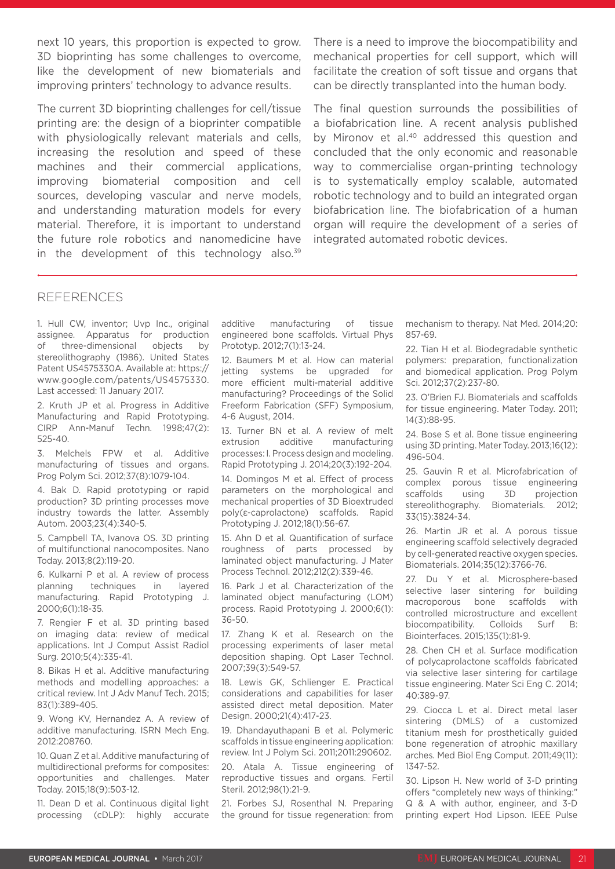next 10 years, this proportion is expected to grow. 3D bioprinting has some challenges to overcome, like the development of new biomaterials and improving printers' technology to advance results.

The current 3D bioprinting challenges for cell/tissue printing are: the design of a bioprinter compatible with physiologically relevant materials and cells, increasing the resolution and speed of these machines and their commercial applications, improving biomaterial composition and cell sources, developing vascular and nerve models, and understanding maturation models for every material. Therefore, it is important to understand the future role robotics and nanomedicine have in the development of this technology also. $39$  There is a need to improve the biocompatibility and mechanical properties for cell support, which will facilitate the creation of soft tissue and organs that can be directly transplanted into the human body.

The final question surrounds the possibilities of a biofabrication line. A recent analysis published by Mironov et al.<sup>40</sup> addressed this question and concluded that the only economic and reasonable way to commercialise organ-printing technology is to systematically employ scalable, automated robotic technology and to build an integrated organ biofabrication line. The biofabrication of a human organ will require the development of a series of integrated automated robotic devices.

#### REFERENCES

1. Hull CW, inventor; Uvp Inc., original assignee. Apparatus for production of three-dimensional objects by stereolithography (1986). United States Patent US4575330A. Available at: https:// www.google.com/patents/US4575330. Last accessed: 11 January 2017.

2. Kruth JP et al. Progress in Additive Manufacturing and Rapid Prototyping. CIRP Ann-Manuf Techn. 1998;47(2): 525-40.

3. Melchels FPW et al. Additive manufacturing of tissues and organs. Prog Polym Sci. 2012;37(8):1079-104.

4. Bak D. Rapid prototyping or rapid production? 3D printing processes move industry towards the latter. Assembly Autom. 2003;23(4):340-5.

5. Campbell TA, Ivanova OS. 3D printing of multifunctional nanocomposites. Nano Today. 2013;8(2):119-20.

6. Kulkarni P et al. A review of process planning techniques in layered manufacturing. Rapid Prototyping J. 2000;6(1):18-35.

7. Rengier F et al. 3D printing based on imaging data: review of medical applications. Int J Comput Assist Radiol Surg. 2010;5(4):335-41.

8. Bikas H et al. Additive manufacturing methods and modelling approaches: a critical review. Int J Adv Manuf Tech. 2015; 83(1):389-405.

9. Wong KV, Hernandez A. A review of additive manufacturing. ISRN Mech Eng. 2012:208760.

10. Quan Z et al. Additive manufacturing of multidirectional preforms for composites: opportunities and challenges. Mater Today. 2015;18(9):503-12.

11. Dean D et al. Continuous digital light processing (cDLP): highly accurate additive manufacturing of tissue engineered bone scaffolds. Virtual Phys Prototyp. 2012;7(1):13-24.

12. Baumers M et al. How can material jetting systems be upgraded for more efficient multi-material additive manufacturing? Proceedings of the Solid Freeform Fabrication (SFF) Symposium, 4-6 August, 2014.

13. Turner BN et al. A review of melt extrusion additive manufacturing processes: I. Process design and modeling. Rapid Prototyping J. 2014;20(3):192-204.

14. Domingos M et al. Effect of process parameters on the morphological and mechanical properties of 3D Bioextruded poly(ε-caprolactone) scaffolds. Rapid Prototyping J. 2012;18(1):56-67.

15. Ahn D et al. Quantification of surface roughness of parts processed by laminated object manufacturing. J Mater Process Technol. 2012;212(2):339-46.

16. Park J et al. Characterization of the laminated object manufacturing (LOM) process. Rapid Prototyping J. 2000;6(1): 36-50.

17. Zhang K et al. Research on the processing experiments of laser metal deposition shaping. Opt Laser Technol. 2007;39(3):549-57.

18. Lewis GK, Schlienger E. Practical considerations and capabilities for laser assisted direct metal deposition. Mater Design. 2000;21(4):417-23.

19. Dhandayuthapani B et al. Polymeric scaffolds in tissue engineering application: review. Int J Polym Sci. 2011;2011:290602.

20. Atala A. Tissue engineering of reproductive tissues and organs. Fertil Steril. 2012;98(1):21-9.

21. Forbes SJ, Rosenthal N. Preparing the ground for tissue regeneration: from mechanism to therapy. Nat Med. 2014;20: 857-69.

22. Tian H et al. Biodegradable synthetic polymers: preparation, functionalization and biomedical application. Prog Polym Sci. 2012;37(2):237-80.

23. O'Brien FJ. Biomaterials and scaffolds for tissue engineering. Mater Today. 2011; 14(3):88-95.

24. Bose S et al. Bone tissue engineering using 3D printing. Mater Today. 2013;16(12): 496-504.

25. Gauvin R et al. Microfabrication of complex porous tissue engineering scaffolds using 3D projection stereolithography. Biomaterials. 2012; 33(15):3824-34.

26. Martin JR et al. A porous tissue engineering scaffold selectively degraded by cell-generated reactive oxygen species. Biomaterials. 2014;35(12):3766-76.

27. Du Y et al. Microsphere-based selective laser sintering for building macroporous bone scaffolds with controlled microstructure and excellent biocompatibility. Colloids Surf B: Biointerfaces. 2015;135(1):81-9.

28. Chen CH et al. Surface modification of polycaprolactone scaffolds fabricated via selective laser sintering for cartilage tissue engineering. Mater Sci Eng C. 2014; 40:389-97.

29. Ciocca L et al. Direct metal laser sintering (DMLS) of a customized titanium mesh for prosthetically guided bone regeneration of atrophic maxillary arches. Med Biol Eng Comput. 2011;49(11): 1347-52.

30. Lipson H. New world of 3-D printing offers "completely new ways of thinking:" Q & A with author, engineer, and 3-D printing expert Hod Lipson. IEEE Pulse